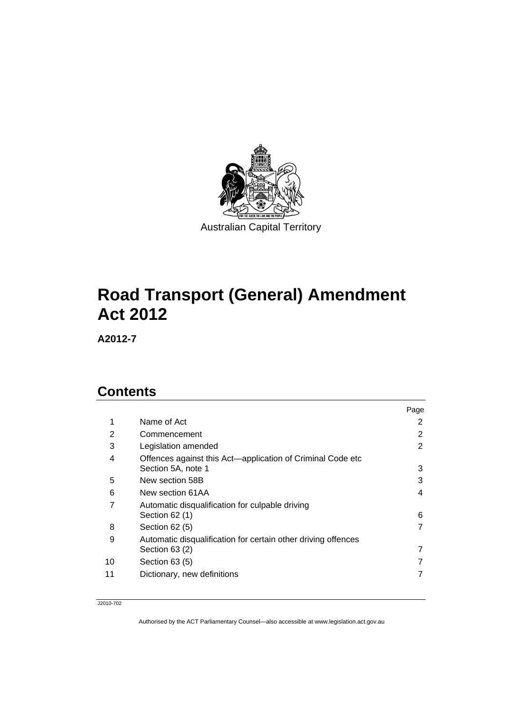

# **Road Transport (General) Amendment Act 2012**

**A2012-7** 

### **Contents**

|    |                                                                                  | Page |
|----|----------------------------------------------------------------------------------|------|
| 1  | Name of Act                                                                      | 2    |
| 2  | Commencement                                                                     | 2    |
| 3  | Legislation amended                                                              | 2    |
| 4  | Offences against this Act-application of Criminal Code etc<br>Section 5A, note 1 | 3    |
| 5  | New section 58B                                                                  | 3    |
| 6  | New section 61AA                                                                 | 4    |
| 7  | Automatic disqualification for culpable driving<br>Section 62 (1)                | 6    |
| 8  | Section 62 (5)                                                                   | 7    |
| 9  | Automatic disqualification for certain other driving offences<br>Section $63(2)$ | 7    |
| 10 | Section 63 (5)                                                                   | 7    |
| 11 | Dictionary, new definitions                                                      | 7    |

J2010-702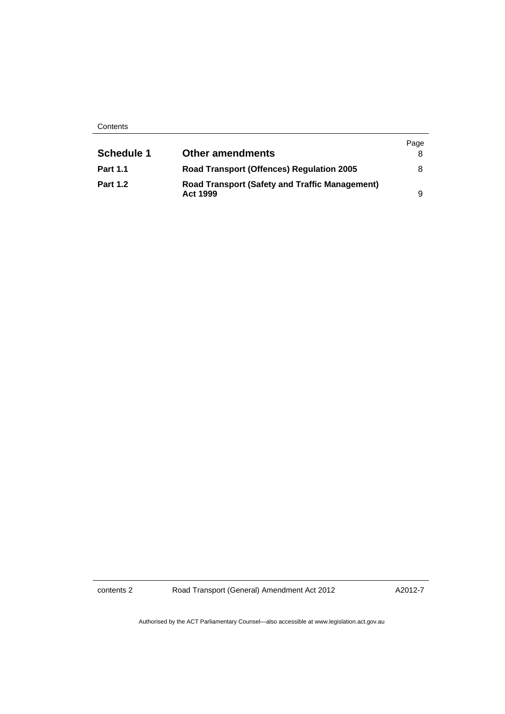**Contents** 

|                   |                                                                          | Page |
|-------------------|--------------------------------------------------------------------------|------|
| <b>Schedule 1</b> | <b>Other amendments</b>                                                  |      |
| <b>Part 1.1</b>   | <b>Road Transport (Offences) Regulation 2005</b>                         | 8    |
| <b>Part 1.2</b>   | <b>Road Transport (Safety and Traffic Management)</b><br><b>Act 1999</b> | 9    |

contents 2 Road Transport (General) Amendment Act 2012

A2012-7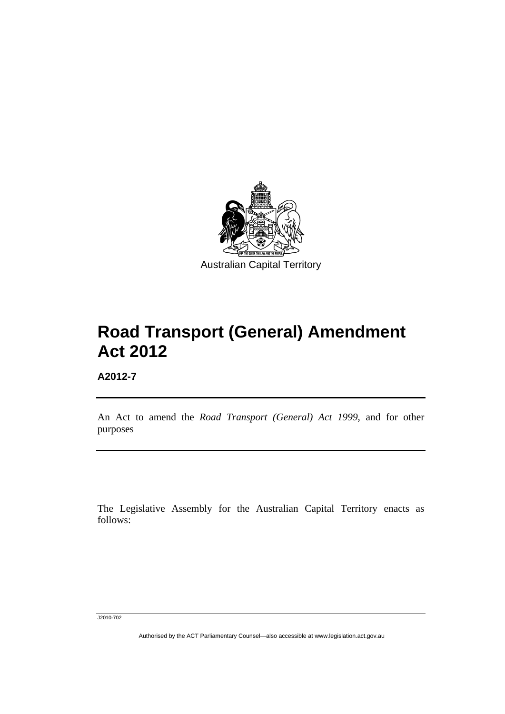

# **Road Transport (General) Amendment Act 2012**

**A2012-7** 

l

An Act to amend the *Road Transport (General) Act 1999*, and for other purposes

The Legislative Assembly for the Australian Capital Territory enacts as follows:

J2010-702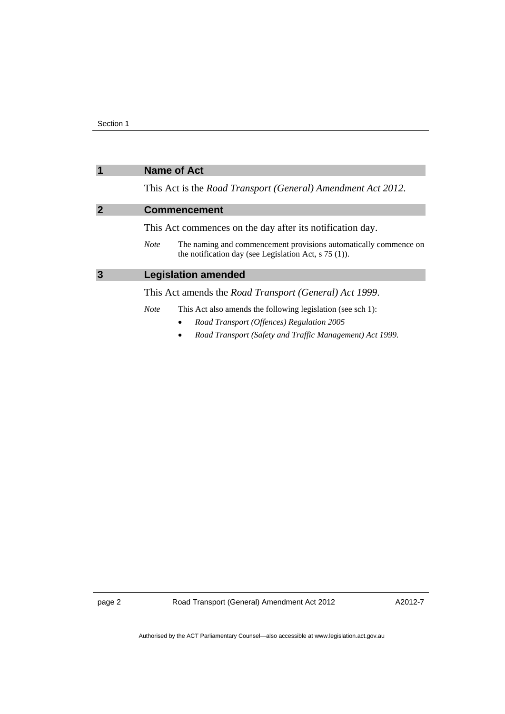<span id="page-3-2"></span><span id="page-3-1"></span><span id="page-3-0"></span>

|   | <b>Name of Act</b>                                                                                                                         |
|---|--------------------------------------------------------------------------------------------------------------------------------------------|
|   | This Act is the <i>Road Transport (General)</i> Amendment Act 2012.                                                                        |
| 2 | <b>Commencement</b>                                                                                                                        |
|   | This Act commences on the day after its notification day.                                                                                  |
|   | The naming and commencement provisions automatically commence on<br><b>Note</b><br>the notification day (see Legislation Act, $s$ 75 (1)). |
| 3 | <b>Legislation amended</b>                                                                                                                 |
|   | This Act amends the <i>Road Transport</i> ( <i>General</i> ) Act 1999.                                                                     |
|   | This Act also amends the following legislation (see sch 1):<br><b>Note</b>                                                                 |
|   | Road Transport (Offences) Regulation 2005                                                                                                  |
|   | Road Transport (Safety and Traffic Management) Act 1999.                                                                                   |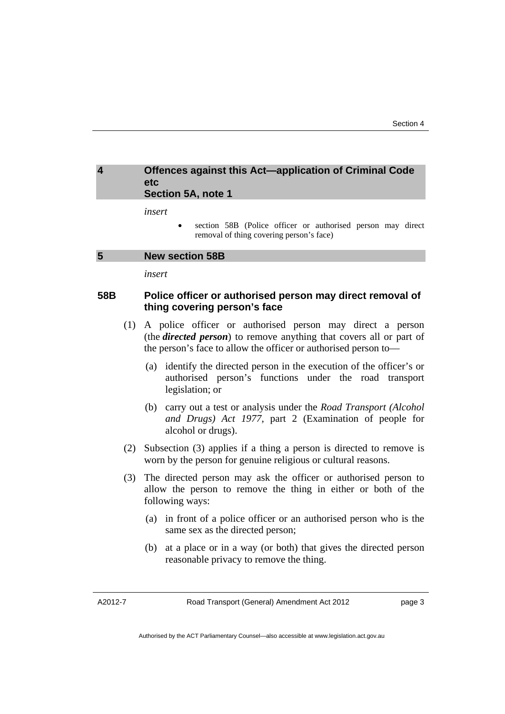### <span id="page-4-0"></span>**4 Offences against this Act—application of Criminal Code etc Section 5A, note 1**

*insert* 

 section 58B (Police officer or authorised person may direct removal of thing covering person's face)

#### <span id="page-4-1"></span>**5 New section 58B**

*insert* 

### **58B Police officer or authorised person may direct removal of thing covering person's face**

- (1) A police officer or authorised person may direct a person (the *directed person*) to remove anything that covers all or part of the person's face to allow the officer or authorised person to—
	- (a) identify the directed person in the execution of the officer's or authorised person's functions under the road transport legislation; or
	- (b) carry out a test or analysis under the *Road Transport (Alcohol and Drugs) Act 1977*, part 2 (Examination of people for alcohol or drugs).
- (2) Subsection (3) applies if a thing a person is directed to remove is worn by the person for genuine religious or cultural reasons.
- (3) The directed person may ask the officer or authorised person to allow the person to remove the thing in either or both of the following ways:
	- (a) in front of a police officer or an authorised person who is the same sex as the directed person;
	- (b) at a place or in a way (or both) that gives the directed person reasonable privacy to remove the thing.

A2012-7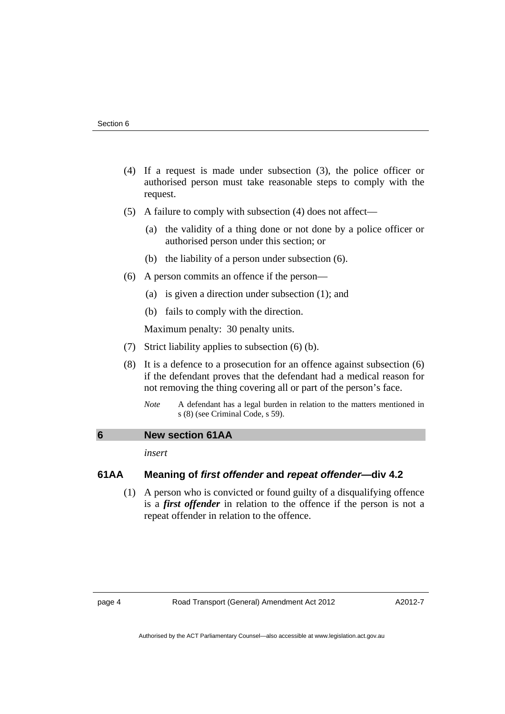- (4) If a request is made under subsection (3), the police officer or authorised person must take reasonable steps to comply with the request.
- (5) A failure to comply with subsection (4) does not affect—
	- (a) the validity of a thing done or not done by a police officer or authorised person under this section; or
	- (b) the liability of a person under subsection (6).
- (6) A person commits an offence if the person—
	- (a) is given a direction under subsection (1); and
	- (b) fails to comply with the direction.

Maximum penalty: 30 penalty units.

- (7) Strict liability applies to subsection (6) (b).
- (8) It is a defence to a prosecution for an offence against subsection (6) if the defendant proves that the defendant had a medical reason for not removing the thing covering all or part of the person's face.
	- *Note* A defendant has a legal burden in relation to the matters mentioned in s (8) (see Criminal Code, s 59).

### <span id="page-5-0"></span>**6 New section 61AA**

*insert* 

### **61AA Meaning of** *first offender* **and** *repeat offender***—div 4.2**

 (1) A person who is convicted or found guilty of a disqualifying offence is a *first offender* in relation to the offence if the person is not a repeat offender in relation to the offence.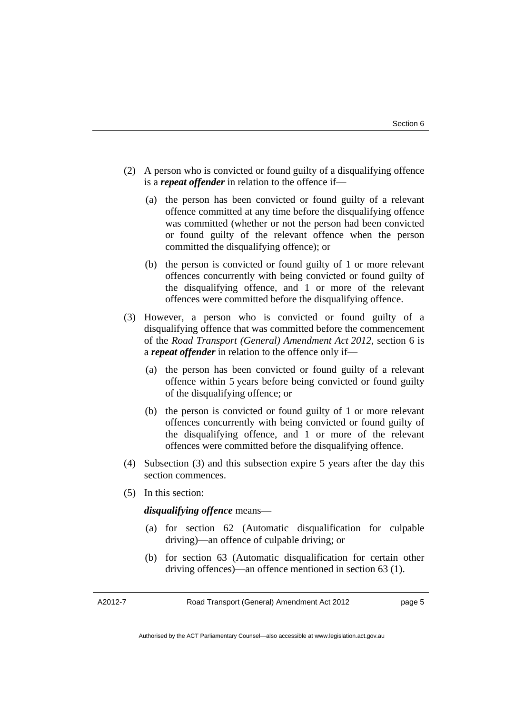- (2) A person who is convicted or found guilty of a disqualifying offence is a *repeat offender* in relation to the offence if—
	- (a) the person has been convicted or found guilty of a relevant offence committed at any time before the disqualifying offence was committed (whether or not the person had been convicted or found guilty of the relevant offence when the person committed the disqualifying offence); or
	- (b) the person is convicted or found guilty of 1 or more relevant offences concurrently with being convicted or found guilty of the disqualifying offence, and 1 or more of the relevant offences were committed before the disqualifying offence.
- (3) However, a person who is convicted or found guilty of a disqualifying offence that was committed before the commencement of the *Road Transport (General) Amendment Act 2012*, section 6 is a *repeat offender* in relation to the offence only if—
	- (a) the person has been convicted or found guilty of a relevant offence within 5 years before being convicted or found guilty of the disqualifying offence; or
	- (b) the person is convicted or found guilty of 1 or more relevant offences concurrently with being convicted or found guilty of the disqualifying offence, and 1 or more of the relevant offences were committed before the disqualifying offence.
- (4) Subsection (3) and this subsection expire 5 years after the day this section commences.
- (5) In this section:

### *disqualifying offence* means—

- (a) for section 62 (Automatic disqualification for culpable driving)—an offence of culpable driving; or
- (b) for section 63 (Automatic disqualification for certain other driving offences)—an offence mentioned in section 63 (1).

A2012-7

Road Transport (General) Amendment Act 2012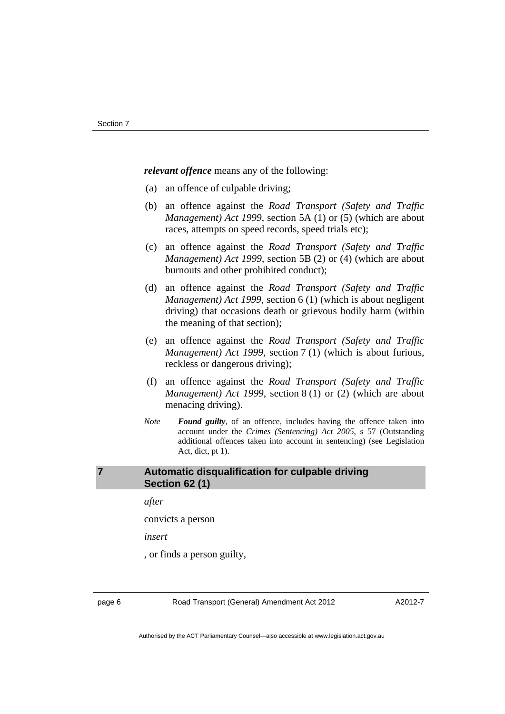*relevant offence* means any of the following:

- (a) an offence of culpable driving;
- (b) an offence against the *Road Transport (Safety and Traffic Management) Act 1999*, section 5A (1) or (5) (which are about races, attempts on speed records, speed trials etc);
- (c) an offence against the *Road Transport (Safety and Traffic Management) Act 1999*, section 5B (2) or (4) (which are about burnouts and other prohibited conduct);
- (d) an offence against the *Road Transport (Safety and Traffic Management) Act 1999*, section 6 (1) (which is about negligent driving) that occasions death or grievous bodily harm (within the meaning of that section);
- (e) an offence against the *Road Transport (Safety and Traffic Management) Act 1999*, section 7 (1) (which is about furious, reckless or dangerous driving);
- (f) an offence against the *Road Transport (Safety and Traffic Management) Act 1999*, section 8 (1) or (2) (which are about menacing driving).
- *Note Found guilty*, of an offence, includes having the offence taken into account under the *Crimes (Sentencing) Act 2005*, s 57 (Outstanding additional offences taken into account in sentencing) (see Legislation Act, dict, pt 1).

### <span id="page-7-0"></span>**7 Automatic disqualification for culpable driving Section 62 (1)**

*after* 

convicts a person

*insert* 

, or finds a person guilty,

page 6 Road Transport (General) Amendment Act 2012

A2012-7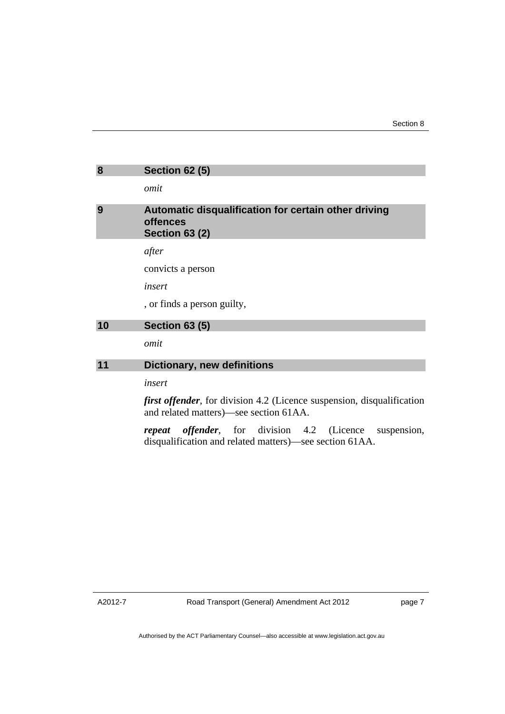<span id="page-8-1"></span><span id="page-8-0"></span>

| 8  | <b>Section 62 (5)</b>                                                                                                    |
|----|--------------------------------------------------------------------------------------------------------------------------|
|    | omit                                                                                                                     |
| 9  | Automatic disqualification for certain other driving<br><b>offences</b><br><b>Section 63 (2)</b>                         |
|    | after                                                                                                                    |
|    | convicts a person                                                                                                        |
|    | insert                                                                                                                   |
|    | , or finds a person guilty,                                                                                              |
| 10 | <b>Section 63 (5)</b>                                                                                                    |
|    | omit                                                                                                                     |
| 11 | <b>Dictionary, new definitions</b>                                                                                       |
|    | insert                                                                                                                   |
|    | <i>first offender</i> , for division 4.2 (Licence suspension, disqualification<br>and related matters)—see section 61AA. |

<span id="page-8-3"></span><span id="page-8-2"></span>*repeat offender*, for division 4.2 (Licence suspension, disqualification and related matters)—see section 61AA.

A2012-7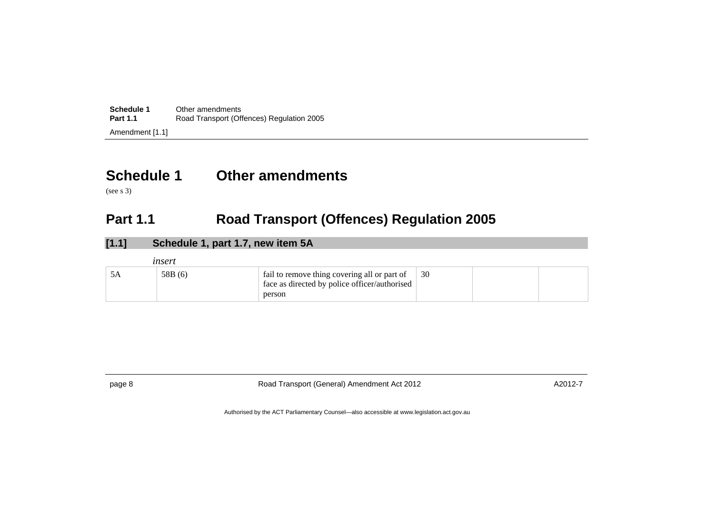| Schedule 1      | Other amendments                          |
|-----------------|-------------------------------------------|
| <b>Part 1.1</b> | Road Transport (Offences) Regulation 2005 |
| Amendment [1.1] |                                           |

## **Schedule 1 Other amendments**

(see s 3)

### **Part 1.1 Road Transport (Offences) Regulation 2005**

| [1.1] | Schedule 1, part 1.7, new item 5A |                                                                                                         |    |  |
|-------|-----------------------------------|---------------------------------------------------------------------------------------------------------|----|--|
|       | insert                            |                                                                                                         |    |  |
| 5A    | 58B (6)                           | fail to remove thing covering all or part of<br>face as directed by police officer/authorised<br>person | 30 |  |

<span id="page-9-1"></span><span id="page-9-0"></span>

page 8 **Road Transport (General) Amendment Act 2012** A2012-7 A2012-7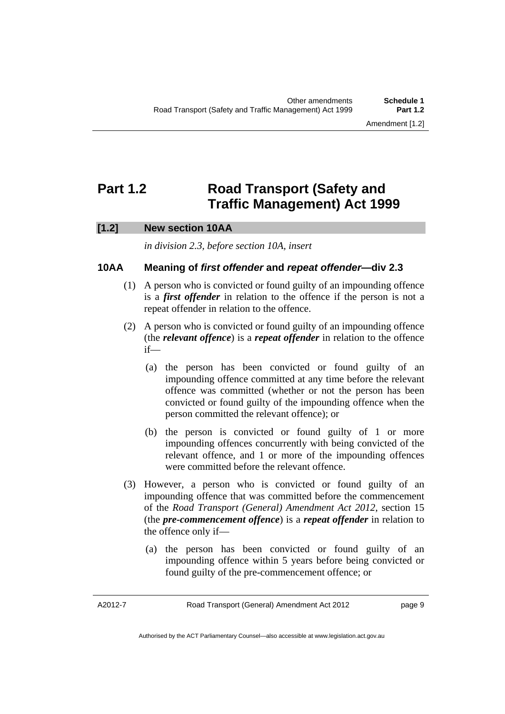### <span id="page-10-0"></span>**Part 1.2 Road Transport (Safety and Traffic Management) Act 1999**

### **[1.2] New section 10AA**

*in division 2.3, before section 10A, insert* 

### **10AA Meaning of** *first offender* **and** *repeat offender***—div 2.3**

- (1) A person who is convicted or found guilty of an impounding offence is a *first offender* in relation to the offence if the person is not a repeat offender in relation to the offence.
- (2) A person who is convicted or found guilty of an impounding offence (the *relevant offence*) is a *repeat offender* in relation to the offence if—
	- (a) the person has been convicted or found guilty of an impounding offence committed at any time before the relevant offence was committed (whether or not the person has been convicted or found guilty of the impounding offence when the person committed the relevant offence); or
	- (b) the person is convicted or found guilty of 1 or more impounding offences concurrently with being convicted of the relevant offence, and 1 or more of the impounding offences were committed before the relevant offence.
- (3) However, a person who is convicted or found guilty of an impounding offence that was committed before the commencement of the *Road Transport (General) Amendment Act 2012*, section 15 (the *pre-commencement offence*) is a *repeat offender* in relation to the offence only if—
	- (a) the person has been convicted or found guilty of an impounding offence within 5 years before being convicted or found guilty of the pre-commencement offence; or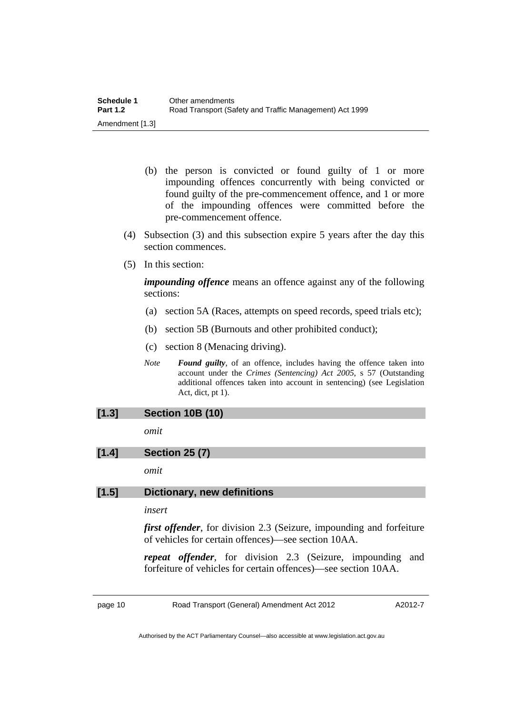- (b) the person is convicted or found guilty of 1 or more impounding offences concurrently with being convicted or found guilty of the pre-commencement offence, and 1 or more of the impounding offences were committed before the pre-commencement offence.
- (4) Subsection (3) and this subsection expire 5 years after the day this section commences.
- (5) In this section:

*impounding offence* means an offence against any of the following sections:

- (a) section 5A (Races, attempts on speed records, speed trials etc);
- (b) section 5B (Burnouts and other prohibited conduct);
- (c) section 8 (Menacing driving).
- *Note Found guilty*, of an offence, includes having the offence taken into account under the *Crimes (Sentencing) Act 2005*, s 57 (Outstanding additional offences taken into account in sentencing) (see Legislation Act, dict, pt 1).

### **[1.3] Section 10B (10)**

*omit* 

### **[1.4] Section 25 (7)**

*omit* 

### **[1.5] Dictionary, new definitions**

### *insert*

*first offender*, for division 2.3 (Seizure, impounding and forfeiture of vehicles for certain offences)—see section 10AA.

*repeat offender*, for division 2.3 (Seizure, impounding and forfeiture of vehicles for certain offences)—see section 10AA.

page 10 Road Transport (General) Amendment Act 2012

A2012-7

Authorised by the ACT Parliamentary Counsel—also accessible at www.legislation.act.gov.au